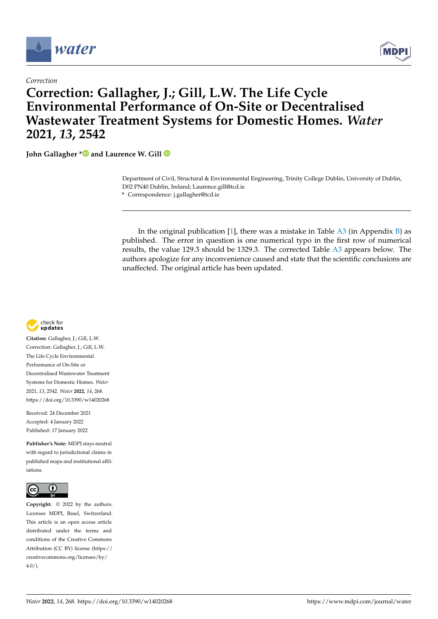



## *Correction* **Correction: Gallagher, J.; Gill, L.W. The Life Cycle Environmental Performance of On-Site or Decentralised Wastewater Treatment Systems for Domestic Homes.** *Water* **2021,** *13***, 2542**

**John Gallagher [\\*](https://orcid.org/0000-0002-0848-6151) and Laurence W. Gill**

Department of Civil, Structural & Environmental Engineering, Trinity College Dublin, University of Dublin, D02 PN40 Dublin, Ireland; Laurence.gill@tcd.ie **\*** Correspondence: j.gallagher@tcd.ie

In the original publication [\[1\]](#page-1-0), there was a mistake in Table  $\overline{A}3$  (in Appendix [B\)](#page-1-2) as published. The error in question is one numerical typo in the first row of numerical results, the value 129.3 should be 1329.3. The corrected Table [A3](#page-1-1) appears below. The authors apologize for any inconvenience caused and state that the scientific conclusions are unaffected. The original article has been updated.



**Citation:** Gallagher, J.; Gill, L.W. Correction: Gallagher, J.; Gill, L.W. The Life Cycle Environmental Performance of On-Site or Decentralised Wastewater Treatment Systems for Domestic Homes. *Water* 2021, *13*, 2542. *Water* **2022**, *14*, 268. <https://doi.org/10.3390/w14020268>

Received: 24 December 2021 Accepted: 4 January 2022 Published: 17 January 2022

**Publisher's Note:** MDPI stays neutral with regard to jurisdictional claims in published maps and institutional affiliations.



**Copyright:** © 2022 by the authors. Licensee MDPI, Basel, Switzerland. This article is an open access article distributed under the terms and conditions of the Creative Commons Attribution (CC BY) license [\(https://](https://creativecommons.org/licenses/by/4.0/) [creativecommons.org/licenses/by/](https://creativecommons.org/licenses/by/4.0/)  $4.0/$ ).